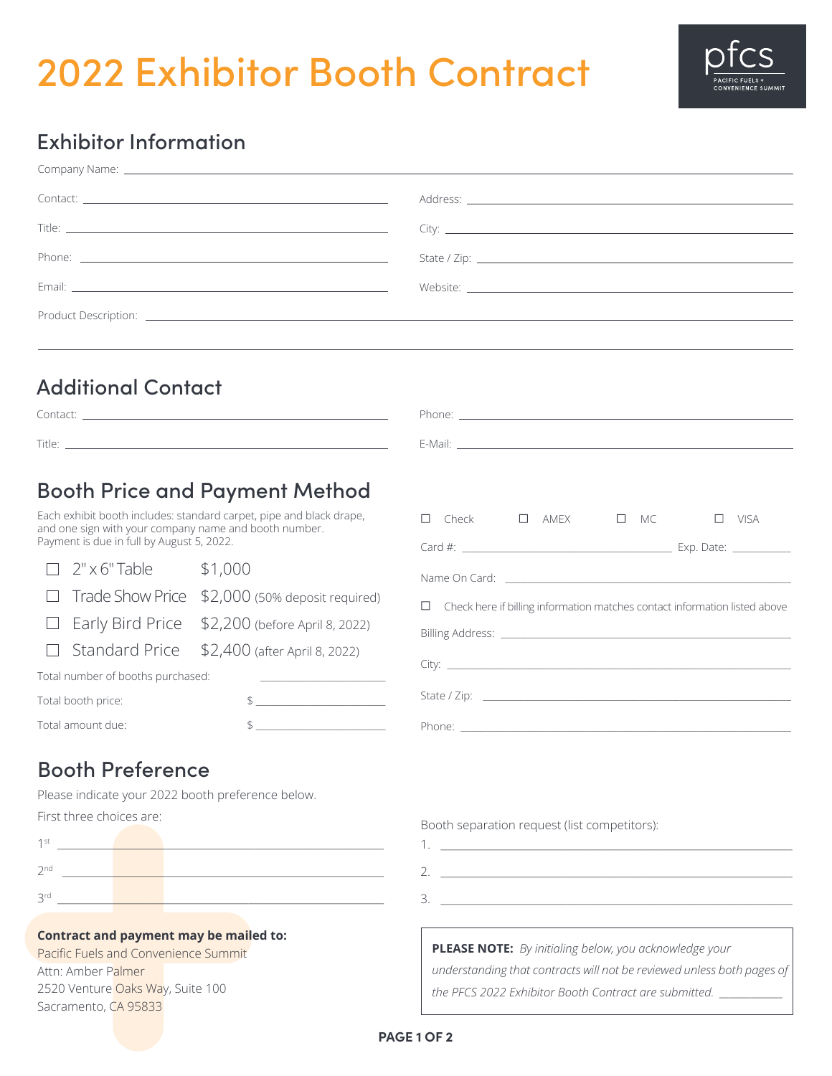# 2022 Exhibitor Booth Contract



### Exhibitor Information

| Company Name: <u>example and the company of the company of the company of the company of the company of the company of the company of the company of the company of the company of the company of the company of the company of </u> |  |  |  |
|--------------------------------------------------------------------------------------------------------------------------------------------------------------------------------------------------------------------------------------|--|--|--|
|                                                                                                                                                                                                                                      |  |  |  |
|                                                                                                                                                                                                                                      |  |  |  |
|                                                                                                                                                                                                                                      |  |  |  |
|                                                                                                                                                                                                                                      |  |  |  |
| Product Description: <u>contract the contract of the contract of the contract of the contract of the contract of the contract of the contract of the contract of the contract of the contract of the contract of the contract of</u> |  |  |  |
|                                                                                                                                                                                                                                      |  |  |  |

#### Additional Contact

|                                                                                                    | <b>Booth Price and Payment Method</b><br>Each exhibit booth includes: standard carpet, pipe and black drape,                                        |                                                                                      |  |  |
|----------------------------------------------------------------------------------------------------|-----------------------------------------------------------------------------------------------------------------------------------------------------|--------------------------------------------------------------------------------------|--|--|
| and one sign with your company name and booth number.<br>Payment is due in full by August 5, 2022. |                                                                                                                                                     | $\Box$ Check $\Box$ AMEX $\Box$ MC<br>VISA                                           |  |  |
| 2" x 6" Table \$1,000<br>$\Box$<br>$\Box$<br>$\perp$                                               | Trade Show Price \$2,000 (50% deposit required)<br>Early Bird Price $$2,200$ (before April 8, 2022)<br>Standard Price \$2,400 (after April 8, 2022) | Check here if billing information matches contact information listed above<br>$\Box$ |  |  |
| Total number of booths purchased:                                                                  | <u> 1989 - Andrea Station Barbara, amerikan per</u>                                                                                                 |                                                                                      |  |  |
| Total booth price:<br>Total amount due:                                                            | $\mathsf{S} \hspace{0.03in} \underbrace{\hspace{0.03in}}$                                                                                           |                                                                                      |  |  |

#### Booth Preference

Please indicate your 2022 booth preference below.

First three choices are:

| 1 st            |  |  |
|-----------------|--|--|
| 2 <sub>nd</sub> |  |  |
| 2rd             |  |  |

#### **Contract and payment may be mailed to:**

Pacific Fuels and Convenience Summit Attn: Amber Palmer 2520 Venture Oaks Way, Suite 100 Sacramento, CA 95833

Booth separation request (list competitors):

**PLEASE NOTE:** *By initialing below, you acknowledge your understanding that contracts will not be reviewed unless both pages of the PFCS 2022 Exhibitor Booth Contract are submitted. \_\_\_\_\_\_\_\_\_\_\_\_\_\_*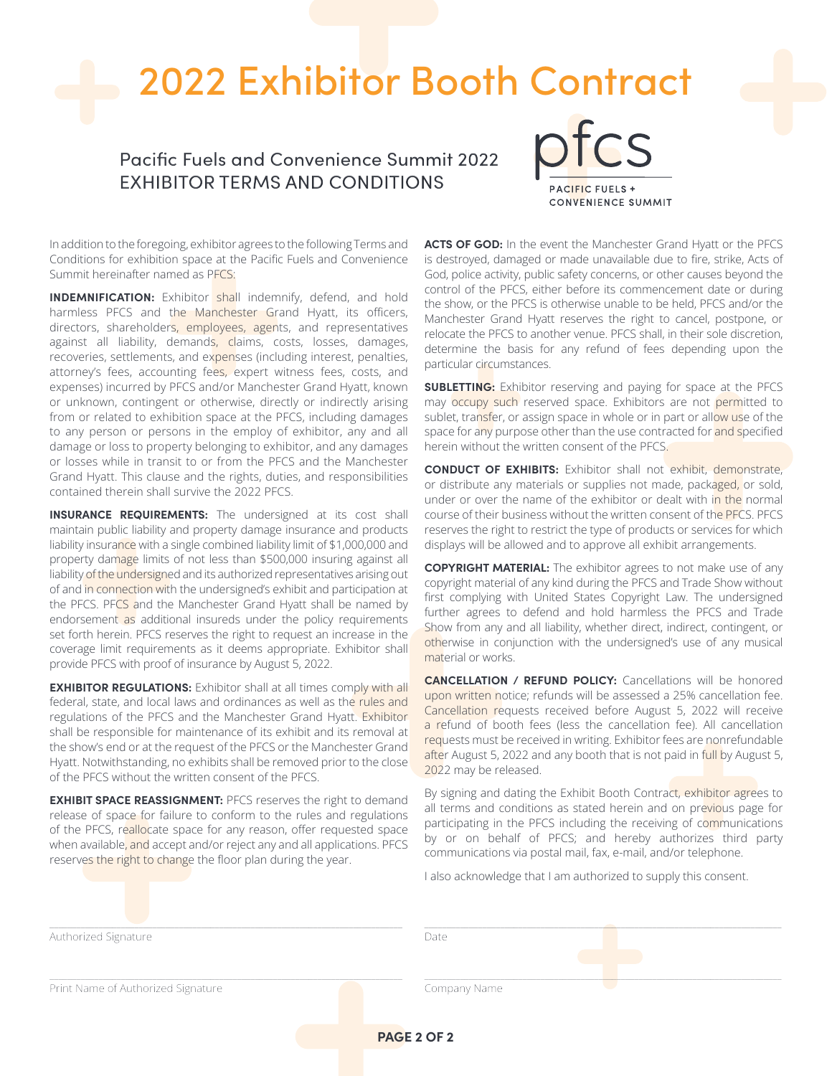## 2022 Exhibitor Booth Contract

Pacific Fuels and Convenience Summit 2022 EXHIBITOR TERMS AND CONDITIONS



In addition to the foregoing, exhibitor agrees to the following Terms and Conditions for exhibition space at the Pacific Fuels and Convenience Summit hereinafter named as PFCS:

**INDEMNIFICATION:** Exhibitor shall indemnify, defend, and hold harmless PFCS and the Manchester Grand Hyatt, its officers, directors, shareholders, employees, agents, and representatives against all liability, demands, claims, costs, losses, damages, recoveries, settlements, and expenses (including interest, penalties, attorney's fees, accounting fees, expert witness fees, costs, and expenses) incurred by PFCS and/or Manchester Grand Hyatt, known or unknown, contingent or otherwise, directly or indirectly arising from or related to exhibition space at the PFCS, including damages to any person or persons in the employ of exhibitor, any and all damage or loss to property belonging to exhibitor, and any damages or losses while in transit to or from the PFCS and the Manchester Grand Hyatt. This clause and the rights, duties, and responsibilities contained therein shall survive the 2022 PFCS.

**INSURANCE REQUIREMENTS:** The undersigned at its cost shall maintain public liability and property damage insurance and products liability insurance with a single combined liability limit of \$1,000,000 and property damage limits of not less than \$500,000 insuring against all liability of the undersigned and its authorized representatives arising out of and in connection with the undersigned's exhibit and participation at the PFCS. PFCS and the Manchester Grand Hyatt shall be named by endorsement as additional insureds under the policy requirements set forth herein. PFCS reserves the right to request an increase in the coverage limit requirements as it deems appropriate. Exhibitor shall provide PFCS with proof of insurance by August 5, 2022.

**EXHIBITOR REGULATIONS:** Exhibitor shall at all times comply with all federal, state, and local laws and ordinances as well as the rules and regulations of the PFCS and the Manchester Grand Hyatt. Exhibitor shall be responsible for maintenance of its exhibit and its removal at the show's end or at the request of the PFCS or the Manchester Grand Hyatt. Notwithstanding, no exhibits shall be removed prior to the close of the PFCS without the written consent of the PFCS.

**EXHIBIT SPACE REASSIGNMENT:** PFCS reserves the right to demand release of space for failure to conform to the rules and regulations of the PFCS, reallocate space for any reason, offer requested space when available, and accept and/or reject any and all applications. PFCS reserves the right to change the floor plan during the year.

**ACTS OF GOD:** In the event the Manchester Grand Hyatt or the PFCS is destroyed, damaged or made unavailable due to fire, strike, Acts of God, police activity, public safety concerns, or other causes beyond the control of the PFCS, either before its commencement date or during the show, or the PFCS is otherwise unable to be held, PFCS and/or the Manchester Grand Hyatt reserves the right to cancel, postpone, or relocate the PFCS to another venue. PFCS shall, in their sole discretion, determine the basis for any refund of fees depending upon the particular circumstances.

**SUBLETTING:** Exhibitor reserving and paying for space at the PFCS may occupy such reserved space. Exhibitors are not permitted to sublet, transfer, or assign space in whole or in part or allow use of the space for any purpose other than the use contracted for and specified herein without the written consent of the PFCS.

**CONDUCT OF EXHIBITS:** Exhibitor shall not exhibit, demonstrate, or distribute any materials or supplies not made, packaged, or sold, under or over the name of the exhibitor or dealt with in the normal course of their business without the written consent of the PFCS. PFCS reserves the right to restrict the type of products or services for which displays will be allowed and to approve all exhibit arrangements.

**COPYRIGHT MATERIAL:** The exhibitor agrees to not make use of any copyright material of any kind during the PFCS and Trade Show without first complying with United States Copyright Law. The undersigned further agrees to defend and hold harmless the PFCS and Trade Show from any and all liability, whether direct, indirect, contingent, or otherwise in conjunction with the undersigned's use of any musical material or works.

**CANCELLATION / REFUND POLICY:** Cancellations will be honored upon written notice; refunds will be assessed a 25% cancellation fee. Cancellation requests received before August 5, 2022 will receive a refund of booth fees (less the cancellation fee). All cancellation requests must be received in writing. Exhibitor fees are nonrefundable after August 5, 2022 and any booth that is not paid in full by August 5, 2022 may be released.

By signing and dating the Exhibit Booth Contract, exhibitor agrees to all terms and conditions as stated herein and on previous page for participating in the PFCS including the receiving of communications by or on behalf of PFCS; and hereby authorizes third party communications via postal mail, fax, e-mail, and/or telephone.

I also acknowledge that I am authorized to supply this consent.

| Authorized Signature               | Date         |  |  |
|------------------------------------|--------------|--|--|
| Print Name of Authorized Signature | Company Name |  |  |

**PAGE 2 OF 2**